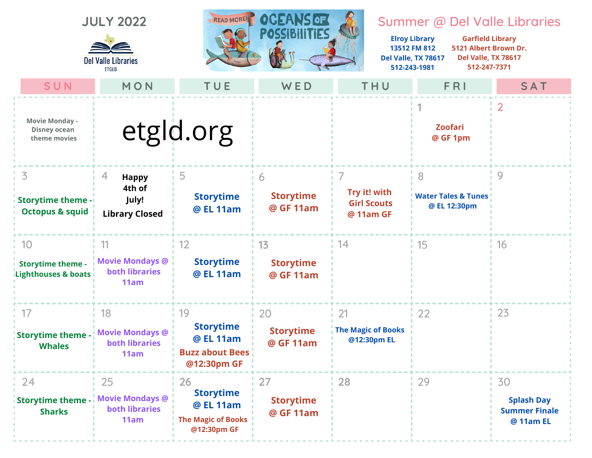





## Summer @ Del Valle Libraries

**Elroy Library 13512 FM 812 Del Valle, TX 78617 512-243-1981 Garfield Library 5121 Albert Brown Dr. Del Valle, TX 78617 512-247-7371**

| SUN                                                              | MON                                                           | TUE                                                                             | WED                                 | THU                                                  | FRI                                                 | SAT                                                          |
|------------------------------------------------------------------|---------------------------------------------------------------|---------------------------------------------------------------------------------|-------------------------------------|------------------------------------------------------|-----------------------------------------------------|--------------------------------------------------------------|
| <b>Movie Monday -</b><br><b>Disney ocean</b><br>theme movies     |                                                               | etgld.org                                                                       |                                     |                                                      | <b>Zoofari</b><br>@ GF 1pm                          | $\overline{2}$                                               |
| 3.<br><b>Storytime theme -</b><br><b>Octopus &amp; squid</b>     | 4<br><b>Happy</b><br>4th of<br>July!<br><b>Library Closed</b> | 5<br><b>Storytime</b><br>@ EL 11am                                              | 6<br><b>Storytime</b><br>@ GF 11am  | 7<br>Try it! with<br><b>Girl Scouts</b><br>@ 11am GF | 8<br><b>Water Tales &amp; Tunes</b><br>@ EL 12:30pm | 9                                                            |
| 10<br><b>Storytime theme -</b><br><b>Lighthouses &amp; boats</b> | 11<br><b>Movie Mondays @</b><br><b>both libraries</b><br>11am | 12<br><b>Storytime</b><br>@ EL 11am                                             | 13<br><b>Storytime</b><br>@ GF 11am | 14                                                   | 15                                                  | 16                                                           |
| 17<br><b>Storytime theme -</b><br><b>Whales</b>                  | 18<br><b>Movie Mondays @</b><br><b>both libraries</b><br>11am | 19<br><b>Storytime</b><br>@ EL 11am<br><b>Buzz about Bees</b><br>@12:30pm GF    | 20<br><b>Storytime</b><br>@ GF 11am | 21<br><b>The Magic of Books</b><br>@12:30pm EL       | 22                                                  | 23                                                           |
| 24<br><b>Storytime theme -</b><br><b>Sharks</b>                  | 25<br><b>Movie Mondays @</b><br><b>both libraries</b><br>11am | 26<br><b>Storytime</b><br>@ EL 11am<br><b>The Magic of Books</b><br>@12:30pm GF | 27<br><b>Storytime</b><br>@ GF 11am | 28                                                   | 29                                                  | 30<br><b>Splash Day</b><br><b>Summer Finale</b><br>@ 11am EL |